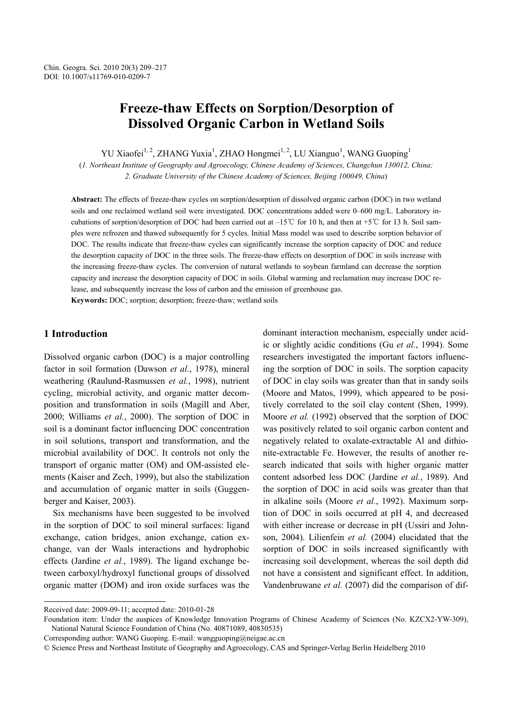# **Freeze-thaw Effects on Sorption/Desorption of Dissolved Organic Carbon in Wetland Soils**

YU Xiaofei<sup>1, 2</sup>, ZHANG Yuxia<sup>1</sup>, ZHAO Hongmei<sup>1, 2</sup>, LU Xianguo<sup>1</sup>, WANG Guoping<sup>1</sup>

(*1. Northeast Institute of Geography and Agroecology, Chinese Academy of Sciences, Changchun 130012, China; 2. Graduate University of the Chinese Academy of Sciences, Beijing 100049, China*)

**Abstract:** The effects of freeze-thaw cycles on sorption/desorption of dissolved organic carbon (DOC) in two wetland soils and one reclaimed wetland soil were investigated. DOC concentrations added were 0–600 mg/L. Laboratory incubations of sorption/desorption of DOC had been carried out at  $-15^{\circ}$  for 10 h, and then at +5 °C for 13 h. Soil samples were refrozen and thawed subsequently for 5 cycles. Initial Mass model was used to describe sorption behavior of DOC. The results indicate that freeze-thaw cycles can significantly increase the sorption capacity of DOC and reduce the desorption capacity of DOC in the three soils. The freeze-thaw effects on desorption of DOC in soils increase with the increasing freeze-thaw cycles. The conversion of natural wetlands to soybean farmland can decrease the sorption capacity and increase the desorption capacity of DOC in soils. Global warming and reclamation may increase DOC release, and subsequently increase the loss of carbon and the emission of greenhouse gas.

**Keywords:** DOC; sorption; desorption; freeze-thaw; wetland soils

# **1 Introduction**

l

Dissolved organic carbon (DOC) is a major controlling factor in soil formation (Dawson *et al.*, 1978), mineral weathering (Raulund-Rasmussen *et al.*, 1998), nutrient cycling, microbial activity, and organic matter decomposition and transformation in soils (Magill and Aber, 2000; Williams *et al.*, 2000). The sorption of DOC in soil is a dominant factor influencing DOC concentration in soil solutions, transport and transformation, and the microbial availability of DOC. It controls not only the transport of organic matter (OM) and OM-assisted elements (Kaiser and Zech, 1999), but also the stabilization and accumulation of organic matter in soils (Guggenberger and Kaiser, 2003).

Six mechanisms have been suggested to be involved in the sorption of DOC to soil mineral surfaces: ligand exchange, cation bridges, anion exchange, cation exchange, van der Waals interactions and hydrophobic effects (Jardine *et al.*, 1989). The ligand exchange between carboxyl/hydroxyl functional groups of dissolved organic matter (DOM) and iron oxide surfaces was the dominant interaction mechanism, especially under acidic or slightly acidic conditions (Gu *et al.*, 1994). Some researchers investigated the important factors influencing the sorption of DOC in soils. The sorption capacity of DOC in clay soils was greater than that in sandy soils (Moore and Matos, 1999), which appeared to be positively correlated to the soil clay content (Shen, 1999). Moore *et al.* (1992) observed that the sorption of DOC was positively related to soil organic carbon content and negatively related to oxalate-extractable Al and dithionite-extractable Fe. However, the results of another research indicated that soils with higher organic matter content adsorbed less DOC (Jardine *et al.*, 1989). And the sorption of DOC in acid soils was greater than that in alkaline soils (Moore *et al.*, 1992). Maximum sorption of DOC in soils occurred at pH 4, and decreased with either increase or decrease in pH (Ussiri and Johnson, 2004). Lilienfein *et al.* (2004) elucidated that the sorption of DOC in soils increased significantly with increasing soil development, whereas the soil depth did not have a consistent and significant effect. In addition, Vandenbruwane *et al.* (2007) did the comparison of dif-

Received date: 2009-09-11; accepted date: 2010-01-28

Foundation item: Under the auspices of Knowledge Innovation Programs of Chinese Academy of Sciences (No. KZCX2-YW-309), National Natural Science Foundation of China (No. 40871089, 40830535)

Corresponding author: WANG Guoping. E-mail: wangguoping@neigae.ac.cn

<sup>©</sup> Science Press and Northeast Institute of Geography and Agroecology, CAS and Springer-Verlag Berlin Heidelberg 2010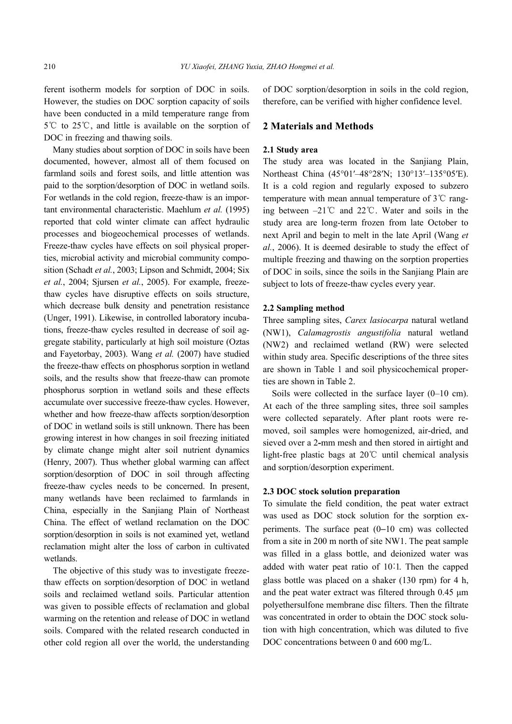ferent isotherm models for sorption of DOC in soils. However, the studies on DOC sorption capacity of soils have been conducted in a mild temperature range from  $5^{\circ}$  to 25 °C, and little is available on the sorption of DOC in freezing and thawing soils.

Many studies about sorption of DOC in soils have been documented, however, almost all of them focused on farmland soils and forest soils, and little attention was paid to the sorption/desorption of DOC in wetland soils. For wetlands in the cold region, freeze-thaw is an important environmental characteristic. Maehlum *et al.* (1995) reported that cold winter climate can affect hydraulic processes and biogeochemical processes of wetlands. Freeze-thaw cycles have effects on soil physical properties, microbial activity and microbial community composition (Schadt *et al.*, 2003; Lipson and Schmidt, 2004; Six *et al.*, 2004; Sjursen *et al.*, 2005). For example, freezethaw cycles have disruptive effects on soils structure, which decrease bulk density and penetration resistance (Unger, 1991). Likewise, in controlled laboratory incubations, freeze-thaw cycles resulted in decrease of soil aggregate stability, particularly at high soil moisture (Oztas and Fayetorbay, 2003). Wang *et al.* (2007) have studied the freeze-thaw effects on phosphorus sorption in wetland soils, and the results show that freeze-thaw can promote phosphorus sorption in wetland soils and these effects accumulate over successive freeze-thaw cycles. However, whether and how freeze-thaw affects sorption/desorption of DOC in wetland soils is still unknown. There has been growing interest in how changes in soil freezing initiated by climate change might alter soil nutrient dynamics (Henry, 2007). Thus whether global warming can affect sorption/desorption of DOC in soil through affecting freeze-thaw cycles needs to be concerned. In present, many wetlands have been reclaimed to farmlands in China, especially in the Sanjiang Plain of Northeast China. The effect of wetland reclamation on the DOC sorption/desorption in soils is not examined yet, wetland reclamation might alter the loss of carbon in cultivated wetlands.

The objective of this study was to investigate freezethaw effects on sorption/desorption of DOC in wetland soils and reclaimed wetland soils. Particular attention was given to possible effects of reclamation and global warming on the retention and release of DOC in wetland soils. Compared with the related research conducted in other cold region all over the world, the understanding

of DOC sorption/desorption in soils in the cold region, therefore, can be verified with higher confidence level.

# **2 Materials and Methods**

### **2.1 Study area**

The study area was located in the Sanjiang Plain, Northeast China (45°01′–48°28′N; 130°13′–135°05′E). It is a cold region and regularly exposed to subzero temperature with mean annual temperature of  $3^{\circ}$  cranging between  $-21^{\circ}$  and  $22^{\circ}$ . Water and soils in the study area are long-term frozen from late October to next April and begin to melt in the late April (Wang *et al.*, 2006). It is deemed desirable to study the effect of multiple freezing and thawing on the sorption properties of DOC in soils, since the soils in the Sanjiang Plain are subject to lots of freeze-thaw cycles every year.

#### **2.2 Sampling method**

Three sampling sites, *Carex lasiocarpa* natural wetland (NW1), *Calamagrostis angustifolia* natural wetland (NW2) and reclaimed wetland (RW) were selected within study area. Specific descriptions of the three sites are shown in Table 1 and soil physicochemical properties are shown in Table 2.

Soils were collected in the surface layer (0–10 cm). At each of the three sampling sites, three soil samples were collected separately. After plant roots were removed, soil samples were homogenized, air-dried, and sieved over a 2**-**mm mesh and then stored in airtight and light-free plastic bags at 20℃ until chemical analysis and sorption/desorption experiment.

### **2.3 DOC stock solution preparation**

To simulate the field condition, the peat water extract was used as DOC stock solution for the sorption experiments. The surface peat (0−10 cm) was collected from a site in 200 m north of site NW1. The peat sample was filled in a glass bottle, and deionized water was added with water peat ratio of 10︰1. Then the capped glass bottle was placed on a shaker (130 rpm) for 4 h, and the peat water extract was filtered through 0.45 µm polyethersulfone membrane disc filters. Then the filtrate was concentrated in order to obtain the DOC stock solution with high concentration, which was diluted to five DOC concentrations between 0 and 600 mg/L.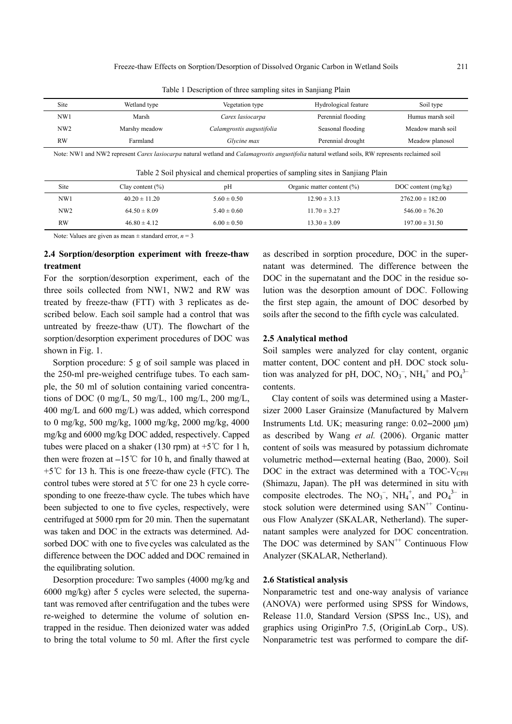Table 1 Description of three sampling sites in Sanjiang Plain

| Site            | Wetland type  | Vegetation type           | Hydrological feature | Soil type         |
|-----------------|---------------|---------------------------|----------------------|-------------------|
| NW1             | Marsh         | Carex lasiocarpa          | Perennial flooding   | Humus marsh soil  |
| NW <sub>2</sub> | Marshy meadow | Calamgrostis augustifolia | Seasonal flooding    | Meadow marsh soil |
| <b>RW</b>       | Farmland      | Glycine max               | Perennial drought    | Meadow planosol   |
|                 |               |                           |                      |                   |

Note: NW1 and NW2 represent *Carex lasiocarpa* natural wetland and *Calamagrostis angustifolia* natural wetland soils, RW represents reclaimed soil

Table 2 Soil physical and chemical properties of sampling sites in Sanjiang Plain

| DOC content $(mg/kg)$ |
|-----------------------|
| $2762.00 \pm 182.00$  |
| $546.00 \pm 76.20$    |
| $197.00 \pm 31.50$    |
|                       |

Note: Values are given as mean  $\pm$  standard error,  $n = 3$ 

# **2.4 Sorption/desorption experiment with freeze-thaw treatment**

For the sorption/desorption experiment, each of the three soils collected from NW1, NW2 and RW was treated by freeze-thaw (FTT) with 3 replicates as described below. Each soil sample had a control that was untreated by freeze-thaw (UT). The flowchart of the sorption/desorption experiment procedures of DOC was shown in Fig. 1.

Sorption procedure: 5 g of soil sample was placed in the 250-ml pre-weighed centrifuge tubes. To each sample, the 50 ml of solution containing varied concentrations of DOC (0 mg/L, 50 mg/L, 100 mg/L, 200 mg/L, 400 mg/L and 600 mg/L) was added, which correspond to 0 mg/kg, 500 mg/kg, 1000 mg/kg, 2000 mg/kg, 4000 mg/kg and 6000 mg/kg DOC added, respectively. Capped tubes were placed on a shaker (130 rpm) at  $+5^{\circ}$ C for 1 h, then were frozen at −15℃ for 10 h, and finally thawed at +5℃ for 13 h. This is one freeze-thaw cycle (FTC). The control tubes were stored at 5℃ for one 23 h cycle corresponding to one freeze-thaw cycle. The tubes which have been subjected to one to five cycles, respectively, were centrifuged at 5000 rpm for 20 min. Then the supernatant was taken and DOC in the extracts was determined. Adsorbed DOC with one to five cycles was calculated as the difference between the DOC added and DOC remained in the equilibrating solution.

Desorption procedure: Two samples (4000 mg/kg and 6000 mg/kg) after 5 cycles were selected, the supernatant was removed after centrifugation and the tubes were re-weighed to determine the volume of solution entrapped in the residue. Then deionized water was added to bring the total volume to 50 ml. After the first cycle as described in sorption procedure, DOC in the supernatant was determined. The difference between the DOC in the supernatant and the DOC in the residue solution was the desorption amount of DOC. Following the first step again, the amount of DOC desorbed by soils after the second to the fifth cycle was calculated.

### **2.5 Analytical method**

Soil samples were analyzed for clay content, organic matter content, DOC content and pH. DOC stock solution was analyzed for pH, DOC,  $NO_3^-$ ,  $NH_4^+$  and  $PO_4^{3-}$ contents.

Clay content of soils was determined using a Mastersizer 2000 Laser Grainsize (Manufactured by Malvern Instruments Ltd. UK; measuring range: 0.02−2000 µm) as described by Wang *et al.* (2006). Organic matter content of soils was measured by potassium dichromate volumetric method―external heating (Bao, 2000). Soil DOC in the extract was determined with a TOC-V $_{\text{CPH}}$ (Shimazu, Japan). The pH was determined in situ with composite electrodes. The  $NO_3^-$ ,  $NH_4^+$ , and  $PO_4^{3-}$  in stock solution were determined using  $SAN^{++}$  Continuous Flow Analyzer (SKALAR, Netherland). The supernatant samples were analyzed for DOC concentration. The DOC was determined by  $SAN^{++}$  Continuous Flow Analyzer (SKALAR, Netherland).

# **2.6 Statistical analysis**

Nonparametric test and one-way analysis of variance (ANOVA) were performed using SPSS for Windows, Release 11.0, Standard Version (SPSS Inc., US), and graphics using OriginPro 7.5, (OriginLab Corp., US). Nonparametric test was performed to compare the dif-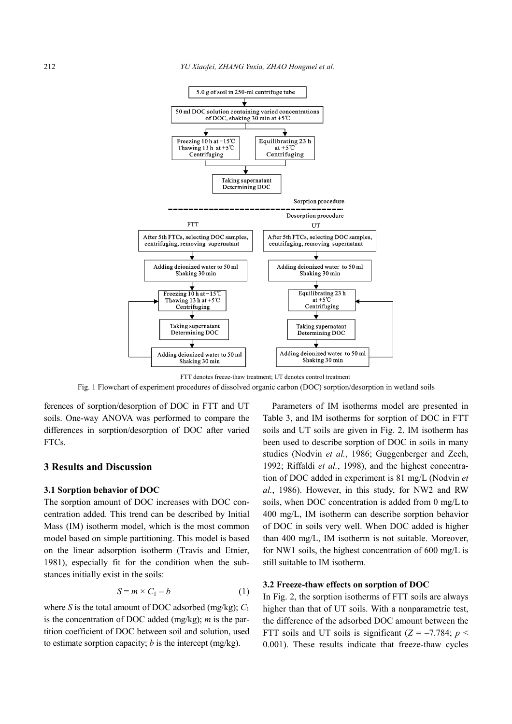

FTT denotes freeze-thaw treatment; UT denotes control treatment Fig. 1 Flowchart of experiment procedures of dissolved organic carbon (DOC) sorption/desorption in wetland soils

ferences of sorption/desorption of DOC in FTT and UT soils. One-way ANOVA was performed to compare the differences in sorption/desorption of DOC after varied FTCs.

# **3 Results and Discussion**

#### **3.1 Sorption behavior of DOC**

The sorption amount of DOC increases with DOC concentration added. This trend can be described by Initial Mass (IM) isotherm model, which is the most common model based on simple partitioning. This model is based on the linear adsorption isotherm (Travis and Etnier, 1981), especially fit for the condition when the substances initially exist in the soils:

$$
S = m \times C_1 - b \tag{1}
$$

where *S* is the total amount of DOC adsorbed (mg/kg);  $C_1$ is the concentration of DOC added (mg/kg); *m* is the partition coefficient of DOC between soil and solution, used to estimate sorption capacity; *b* is the intercept (mg/kg).

Parameters of IM isotherms model are presented in Table 3, and IM isotherms for sorption of DOC in FTT soils and UT soils are given in Fig. 2. IM isotherm has been used to describe sorption of DOC in soils in many studies (Nodvin *et al.*, 1986; Guggenberger and Zech, 1992; Riffaldi *et al.*, 1998), and the highest concentration of DOC added in experiment is 81 mg/L (Nodvin *et al.*, 1986). However, in this study, for NW2 and RW soils, when DOC concentration is added from 0 mg/L to 400 mg/L, IM isotherm can describe sorption behavior of DOC in soils very well. When DOC added is higher than 400 mg/L, IM isotherm is not suitable. Moreover, for NW1 soils, the highest concentration of 600 mg/L is still suitable to IM isotherm.

# **3.2 Freeze-thaw effects on sorption of DOC**

In Fig. 2, the sorption isotherms of FTT soils are always higher than that of UT soils. With a nonparametric test, the difference of the adsorbed DOC amount between the FTT soils and UT soils is significant  $(Z = -7.784; p <$ 0.001). These results indicate that freeze-thaw cycles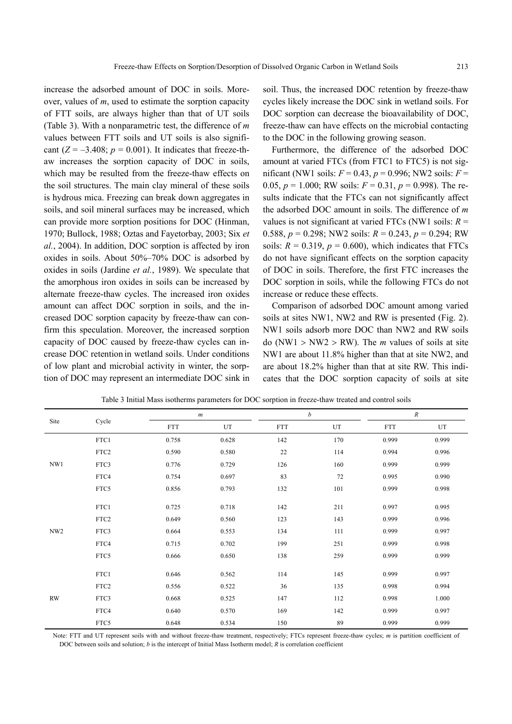increase the adsorbed amount of DOC in soils. Moreover, values of *m*, used to estimate the sorption capacity of FTT soils, are always higher than that of UT soils (Table 3). With a nonparametric test, the difference of *m*  values between FTT soils and UT soils is also significant  $(Z = -3.408; p = 0.001)$ . It indicates that freeze-thaw increases the sorption capacity of DOC in soils, which may be resulted from the freeze-thaw effects on the soil structures. The main clay mineral of these soils is hydrous mica. Freezing can break down aggregates in soils, and soil mineral surfaces may be increased, which can provide more sorption positions for DOC (Hinman, 1970; Bullock, 1988; Oztas and Fayetorbay, 2003; Six *et al.*, 2004). In addition, DOC sorption is affected by iron oxides in soils. About 50%–70% DOC is adsorbed by oxides in soils (Jardine *et al.*, 1989). We speculate that the amorphous iron oxides in soils can be increased by alternate freeze-thaw cycles. The increased iron oxides amount can affect DOC sorption in soils, and the increased DOC sorption capacity by freeze-thaw can confirm this speculation. Moreover, the increased sorption capacity of DOC caused by freeze-thaw cycles can increase DOC retention in wetland soils. Under conditions of low plant and microbial activity in winter, the sorption of DOC may represent an intermediate DOC sink in soil. Thus, the increased DOC retention by freeze-thaw cycles likely increase the DOC sink in wetland soils. For DOC sorption can decrease the bioavailability of DOC, freeze-thaw can have effects on the microbial contacting to the DOC in the following growing season.

Furthermore, the difference of the adsorbed DOC amount at varied FTCs (from FTC1 to FTC5) is not significant (NW1 soils: *F* = 0.43, *p* = 0.996; NW2 soils: *F* = 0.05,  $p = 1.000$ ; RW soils:  $F = 0.31$ ,  $p = 0.998$ ). The results indicate that the FTCs can not significantly affect the adsorbed DOC amount in soils. The difference of *m* values is not significant at varied FTCs (NW1 soils: *R* = 0.588, *p* = 0.298; NW2 soils: *R* = 0.243, *p* = 0.294; RW soils:  $R = 0.319$ ,  $p = 0.600$ ), which indicates that FTCs do not have significant effects on the sorption capacity of DOC in soils. Therefore, the first FTC increases the DOC sorption in soils, while the following FTCs do not increase or reduce these effects.

Comparison of adsorbed DOC amount among varied soils at sites NW1, NW2 and RW is presented (Fig. 2). NW1 soils adsorb more DOC than NW2 and RW soils do (NW1 > NW2 > RW). The *m* values of soils at site NW1 are about 11.8% higher than that at site NW2, and are about 18.2% higher than that at site RW. This indicates that the DOC sorption capacity of soils at site

|                 |                  |            | $\boldsymbol{m}$ |            | $\boldsymbol{b}$ |            | $\boldsymbol{R}$ |  |
|-----------------|------------------|------------|------------------|------------|------------------|------------|------------------|--|
| Site            | Cycle            | <b>FTT</b> | UT               | <b>FTT</b> | $_{\rm UT}$      | <b>FTT</b> | UT               |  |
|                 | FTC1             | 0.758      | 0.628            | 142        | 170              | 0.999      | 0.999            |  |
|                 | FTC <sub>2</sub> | 0.590      | 0.580            | $22\,$     | 114              | 0.994      | 0.996            |  |
| NW1             | FTC3             | 0.776      | 0.729            | 126        | 160              | 0.999      | 0.999            |  |
|                 | FTC4             | 0.754      | 0.697            | 83         | 72               | 0.995      | 0.990            |  |
|                 | FTC5             | 0.856      | 0.793            | 132        | 101              | 0.999      | 0.998            |  |
|                 | FTC1             | 0.725      | 0.718            | 142        | 211              | 0.997      | 0.995            |  |
|                 |                  |            |                  |            |                  |            |                  |  |
|                 | FTC <sub>2</sub> | 0.649      | 0.560            | 123        | 143              | 0.999      | 0.996            |  |
| NW <sub>2</sub> | FTC3             | 0.664      | 0.553            | 134        | 111              | 0.999      | 0.997            |  |
|                 | FTC4             | 0.715      | 0.702            | 199        | 251              | 0.999      | 0.998            |  |
|                 | FTC5             | 0.666      | 0.650            | 138        | 259              | 0.999      | 0.999            |  |
|                 |                  |            |                  |            |                  |            |                  |  |
|                 | FTC1             | 0.646      | 0.562            | 114        | 145              | 0.999      | 0.997            |  |
|                 | FTC <sub>2</sub> | 0.556      | 0.522            | 36         | 135              | 0.998      | 0.994            |  |
| RW              | FTC3             | 0.668      | 0.525            | 147        | 112              | 0.998      | 1.000            |  |
|                 | FTC4             | 0.640      | 0.570            | 169        | 142              | 0.999      | 0.997            |  |
|                 | FTC5             | 0.648      | 0.534            | 150        | 89               | 0.999      | 0.999            |  |

Table 3 Initial Mass isotherms parameters for DOC sorption in freeze-thaw treated and control soils

Note: FTT and UT represent soils with and without freeze-thaw treatment, respectively; FTCs represent freeze-thaw cycles; *m* is partition coefficient of DOC between soils and solution; *b* is the intercept of Initial Mass Isotherm model; *R* is correlation coefficient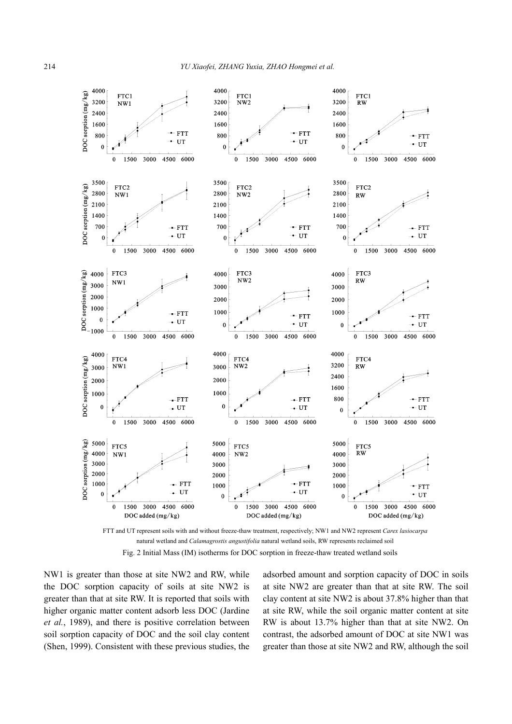

FTT and UT represent soils with and without freeze-thaw treatment, respectively; NW1 and NW2 represent *Carex lasiocarpa* natural wetland and *Calamagrostis angustifolia* natural wetland soils, RW represents reclaimed soil Fig. 2 Initial Mass (IM) isotherms for DOC sorption in freeze-thaw treated wetland soils

NW1 is greater than those at site NW2 and RW, while the DOC sorption capacity of soils at site NW2 is greater than that at site RW. It is reported that soils with higher organic matter content adsorb less DOC (Jardine *et al.*, 1989), and there is positive correlation between soil sorption capacity of DOC and the soil clay content (Shen, 1999). Consistent with these previous studies, the

adsorbed amount and sorption capacity of DOC in soils at site NW2 are greater than that at site RW. The soil clay content at site NW2 is about 37.8% higher than that at site RW, while the soil organic matter content at site RW is about 13.7% higher than that at site NW2. On contrast, the adsorbed amount of DOC at site NW1 was greater than those at site NW2 and RW, although the soil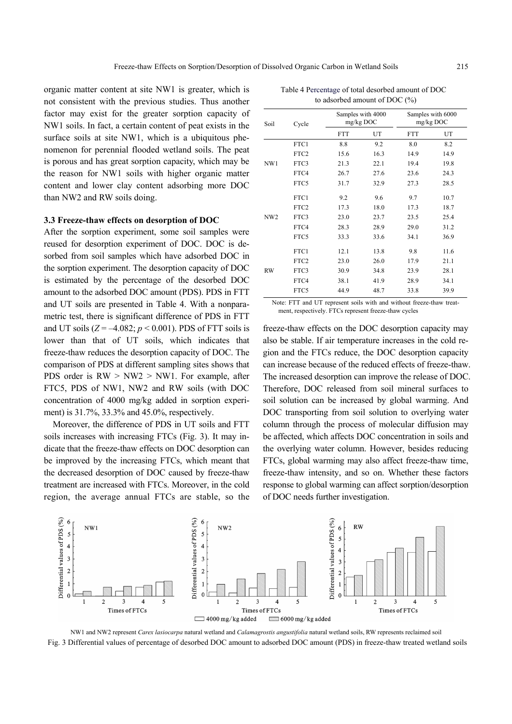organic matter content at site NW1 is greater, which is not consistent with the previous studies. Thus another factor may exist for the greater sorption capacity of NW1 soils. In fact, a certain content of peat exists in the surface soils at site NW1, which is a ubiquitous phenomenon for perennial flooded wetland soils. The peat is porous and has great sorption capacity, which may be the reason for NW1 soils with higher organic matter content and lower clay content adsorbing more DOC than NW2 and RW soils doing.

## **3.3 Freeze-thaw effects on desorption of DOC**

After the sorption experiment, some soil samples were reused for desorption experiment of DOC. DOC is desorbed from soil samples which have adsorbed DOC in the sorption experiment. The desorption capacity of DOC is estimated by the percentage of the desorbed DOC amount to the adsorbed DOC amount (PDS). PDS in FTT and UT soils are presented in Table 4. With a nonparametric test, there is significant difference of PDS in FTT and UT soils  $(Z = -4.082; p < 0.001)$ . PDS of FTT soils is lower than that of UT soils, which indicates that freeze-thaw reduces the desorption capacity of DOC. The comparison of PDS at different sampling sites shows that PDS order is  $RW > NW2 > NW1$ . For example, after FTC5, PDS of NW1, NW2 and RW soils (with DOC concentration of 4000 mg/kg added in sorption experiment) is 31.7%, 33.3% and 45.0%, respectively.

Moreover, the difference of PDS in UT soils and FTT soils increases with increasing FTCs (Fig. 3). It may indicate that the freeze-thaw effects on DOC desorption can be improved by the increasing FTCs, which meant that the decreased desorption of DOC caused by freeze-thaw treatment are increased with FTCs. Moreover, in the cold region, the average annual FTCs are stable, so the

| Soil            | Cycle            | Samples with 4000<br>mg/kg DOC |      | Samples with 6000<br>mg/kg DOC |      |
|-----------------|------------------|--------------------------------|------|--------------------------------|------|
|                 |                  | <b>FTT</b>                     | UT   | <b>FTT</b>                     | UT   |
|                 | FTC1             | 8.8                            | 9.2  | 8.0                            | 8.2  |
|                 | FTC <sub>2</sub> | 15.6                           | 16.3 | 14.9                           | 14.9 |
| NW1             | FTC3             | 21.3                           | 22.1 | 19.4                           | 19.8 |
|                 | FTC4             | 26.7                           | 27.6 | 23.6                           | 24.3 |
|                 | FTC5             | 31.7                           | 32.9 | 27.3                           | 28.5 |
| NW <sub>2</sub> | FTC1             | 9.2                            | 9.6  | 9.7                            | 10.7 |
|                 | FTC <sub>2</sub> | 17.3                           | 18.0 | 17.3                           | 18.7 |
|                 | FTC3             | 23.0                           | 23.7 | 23.5                           | 25.4 |
|                 | FTC4             | 28.3                           | 28.9 | 29.0                           | 31.2 |
|                 | FTC5             | 33.3                           | 33.6 | 34.1                           | 36.9 |
| <b>RW</b>       | FTC1             | 12.1                           | 13.8 | 9.8                            | 11.6 |
|                 | FTC <sub>2</sub> | 23.0                           | 26.0 | 17.9                           | 21.1 |
|                 | FTC3             | 30.9                           | 34.8 | 23.9                           | 28.1 |
|                 | FTC4             | 38.1                           | 41.9 | 28.9                           | 34.1 |
|                 | FTC5             | 44.9                           | 48.7 | 33.8                           | 39.9 |

Table 4 Percentage of total desorbed amount of DOC to adsorbed amount of DOC (%)

Note: FTT and UT represent soils with and without freeze-thaw treatment, respectively. FTCs represent freeze-thaw cycles

freeze-thaw effects on the DOC desorption capacity may also be stable. If air temperature increases in the cold region and the FTCs reduce, the DOC desorption capacity can increase because of the reduced effects of freeze-thaw. The increased desorption can improve the release of DOC. Therefore, DOC released from soil mineral surfaces to soil solution can be increased by global warming. And DOC transporting from soil solution to overlying water column through the process of molecular diffusion may be affected, which affects DOC concentration in soils and the overlying water column. However, besides reducing FTCs, global warming may also affect freeze-thaw time, freeze-thaw intensity, and so on. Whether these factors response to global warming can affect sorption/desorption of DOC needs further investigation.



NW1 and NW2 represent *Carex lasiocarpa* natural wetland and *Calamagrostis angustifolia* natural wetland soils, RW represents reclaimed soil Fig. 3 Differential values of percentage of desorbed DOC amount to adsorbed DOC amount (PDS) in freeze-thaw treated wetland soils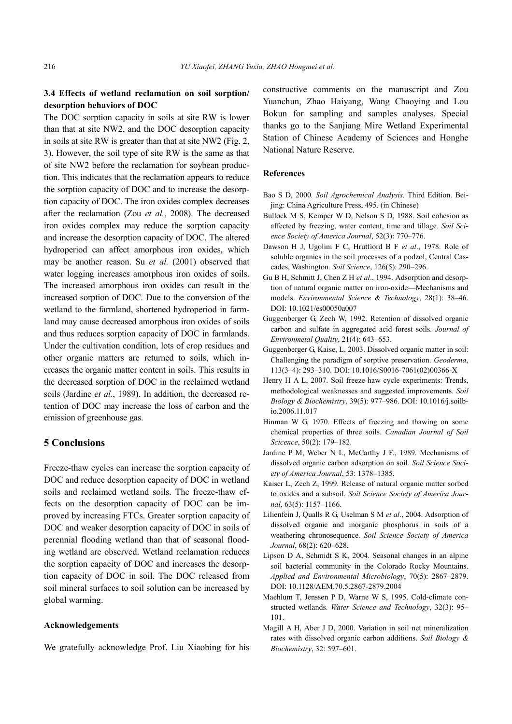# **3.4 Effects of wetland reclamation on soil sorption/ desorption behaviors of DOC**

The DOC sorption capacity in soils at site RW is lower than that at site NW2, and the DOC desorption capacity in soils at site RW is greater than that at site NW2 (Fig. 2, 3). However, the soil type of site RW is the same as that of site NW2 before the reclamation for soybean production. This indicates that the reclamation appears to reduce the sorption capacity of DOC and to increase the desorption capacity of DOC. The iron oxides complex decreases after the reclamation (Zou *et al.*, 2008). The decreased iron oxides complex may reduce the sorption capacity and increase the desorption capacity of DOC. The altered hydroperiod can affect amorphous iron oxides, which may be another reason. Su *et al.* (2001) observed that water logging increases amorphous iron oxides of soils. The increased amorphous iron oxides can result in the increased sorption of DOC. Due to the conversion of the wetland to the farmland, shortened hydroperiod in farmland may cause decreased amorphous iron oxides of soils and thus reduces sorption capacity of DOC in farmlands. Under the cultivation condition, lots of crop residues and other organic matters are returned to soils, which increases the organic matter content in soils. This results in the decreased sorption of DOC in the reclaimed wetland soils (Jardine *et al.*, 1989). In addition, the decreased retention of DOC may increase the loss of carbon and the emission of greenhouse gas.

# **5 Conclusions**

Freeze-thaw cycles can increase the sorption capacity of DOC and reduce desorption capacity of DOC in wetland soils and reclaimed wetland soils. The freeze-thaw effects on the desorption capacity of DOC can be improved by increasing FTCs. Greater sorption capacity of DOC and weaker desorption capacity of DOC in soils of perennial flooding wetland than that of seasonal flooding wetland are observed. Wetland reclamation reduces the sorption capacity of DOC and increases the desorption capacity of DOC in soil. The DOC released from soil mineral surfaces to soil solution can be increased by global warming.

## **Acknowledgements**

We gratefully acknowledge Prof. Liu Xiaobing for his

constructive comments on the manuscript and Zou Yuanchun, Zhao Haiyang, Wang Chaoying and Lou Bokun for sampling and samples analyses. Special thanks go to the Sanjiang Mire Wetland Experimental Station of Chinese Academy of Sciences and Honghe National Nature Reserve.

## **References**

- Bao S D, 2000*. Soil Agrochemical Analysis.* Third Edition. Beijing: China Agriculture Press, 495. (in Chinese)
- Bullock M S, Kemper W D, Nelson S D, 1988. Soil cohesion as affected by freezing, water content, time and tillage. *Soil Science Society of America Journal*, 52(3): 770–776.
- Dawson H J, Ugolini F C, Hrutfiord B F *et al*., 1978. Role of soluble organics in the soil processes of a podzol, Central Cascades, Washington. *Soil Science*, 126(5): 290–296.
- Gu B H, Schmitt J, Chen Z H *et al*., 1994. Adsorption and desorption of natural organic matter on iron-oxide—Mechanisms and models. *Environmental Science & Technology*, 28(1): 38–46. DOI: 10.1021/es00050a007
- Guggenberger G, Zech W, 1992. Retention of dissolved organic carbon and sulfate in aggregated acid forest soils. *Journal of Environmetal Quality*, 21(4): 643–653.
- Guggenberger G, Kaise, L, 2003. Dissolved organic matter in soil: Challenging the paradigm of sorptive preservation. *Geoderma*, 113(3–4): 293–310. DOI: 10.1016/S0016-7061(02)00366-X
- Henry H A L, 2007. Soil freeze-haw cycle experiments: Trends, methodological weaknesses and suggested improvements. *Soil Biology & Biochemistry*, 39(5): 977–986. DOI: 10.1016/j.soilbio.2006.11.017
- Hinman W G, 1970. Effects of freezing and thawing on some chemical properties of three soils. *Canadian Journal of Soil Scicence*, 50(2): 179–182.
- Jardine P M, Weber N L, McCarthy J F., 1989. Mechanisms of dissolved organic carbon adsorption on soil. *Soil Science Society of America Journal*, 53: 1378–1385.
- Kaiser L, Zech Z, 1999. Release of natural organic matter sorbed to oxides and a subsoil. *Soil Science Society of America Journal*, 63(5): 1157–1166.
- Lilienfein J, Qualls R G, Uselman S M *et al*., 2004. Adsorption of dissolved organic and inorganic phosphorus in soils of a weathering chronosequence. *Soil Science Society of America Journal*, 68(2): 620–628.
- Lipson D A, Schmidt S K, 2004. Seasonal changes in an alpine soil bacterial community in the Colorado Rocky Mountains. *Applied and Environmental Microbiology*, 70(5): 2867–2879. DOI: 10.1128/AEM.70.5.2867-2879.2004
- Maehlum T, Jenssen P D, Warne W S, 1995. Cold-climate constructed wetlands. *Water Science and Technology*, 32(3): 95– 101.
- Magill A H, Aber J D, 2000. Variation in soil net mineralization rates with dissolved organic carbon additions. *Soil Biology & Biochemistry*, 32: 597–601.